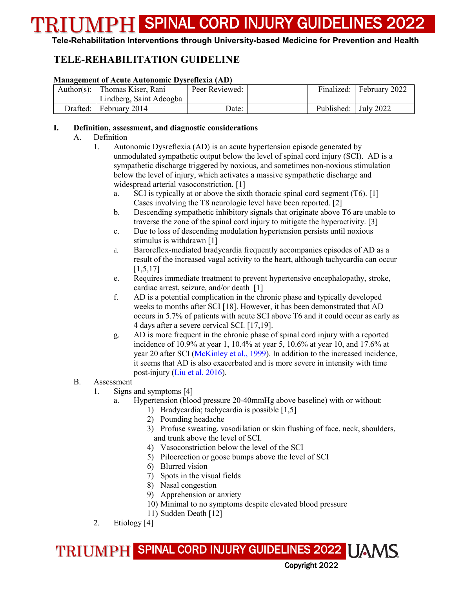#### **Tele-Rehabilitation Interventions through University-based Medicine for Prevention and Health**

### **TELE-REHABILITATION GUIDELINE**

#### **Management of Acute Autonomic Dysreflexia (AD)**

| Author(s): Thomas Kiser, Rani | Peer Reviewed: |                        | Finalized: February 2022 |
|-------------------------------|----------------|------------------------|--------------------------|
| Lindberg, Saint Adeogba       |                |                        |                          |
| Drafted: February 2014        | Date:          | Published:   July 2022 |                          |

#### **I. Definition, assessment, and diagnostic considerations**

#### A. Definition

- 1. Autonomic Dysreflexia (AD) is an acute hypertension episode generated by unmodulated sympathetic output below the level of spinal cord injury (SCI). AD is a sympathetic discharge triggered by noxious, and sometimes non-noxious stimulation below the level of injury, which activates a massive sympathetic discharge and widespread arterial vasoconstriction. [1]
	- a. SCI is typically at or above the sixth thoracic spinal cord segment (T6). [1] Cases involving the T8 neurologic level have been reported. [2]
	- b. Descending sympathetic inhibitory signals that originate above T6 are unable to traverse the zone of the spinal cord injury to mitigate the hyperactivity. [3]
	- c. Due to loss of descending modulation hypertension persists until noxious stimulus is withdrawn [1]
	- d. Baroreflex-mediated bradycardia frequently accompanies episodes of AD as a result of the increased vagal activity to the heart, although tachycardia can occur [1,5,17]
	- e. Requires immediate treatment to prevent hypertensive encephalopathy, stroke, cardiac arrest, seizure, and/or death [1]
	- f. AD is a potential complication in the chronic phase and typically developed weeks to months after SCI [18]. However, it has been demonstrated that AD occurs in 5.7% of patients with acute SCI above T6 and it could occur as early as 4 days after a severe cervical SCI. [17,19].
	- g. AD is more frequent in the chronic phase of spinal cord injury with a reported incidence of 10.9% at year 1, 10.4% at year 5, 10.6% at year 10, and 17.6% at year 20 after SCI (McKinley et al., 1999). In addition to the increased incidence, it seems that AD is also exacerbated and is more severe in intensity with time post-injury (Liu et al. 2016).

#### B. Assessment

- 1. Signs and symptoms [4]
	- a. Hypertension (blood pressure 20-40mmHg above baseline) with or without:
		- 1) Bradycardia; tachycardia is possible [1,5]
		- 2) Pounding headache
		- 3) Profuse sweating, vasodilation or skin flushing of face, neck, shoulders, and trunk above the level of SCI.
		- 4) Vasoconstriction below the level of the SCI
		- 5) Piloerection or goose bumps above the level of SCI
		- 6) Blurred vision
		- 7) Spots in the visual fields
		- 8) Nasal congestion
		- 9) Apprehension or anxiety
		- 10) Minimal to no symptoms despite elevated blood pressure
		- 11) Sudden Death [12]
- 2. Etiology [4]

TRIUMPH SPINAL CORD INJURY GUIDELINES 2022 UAMS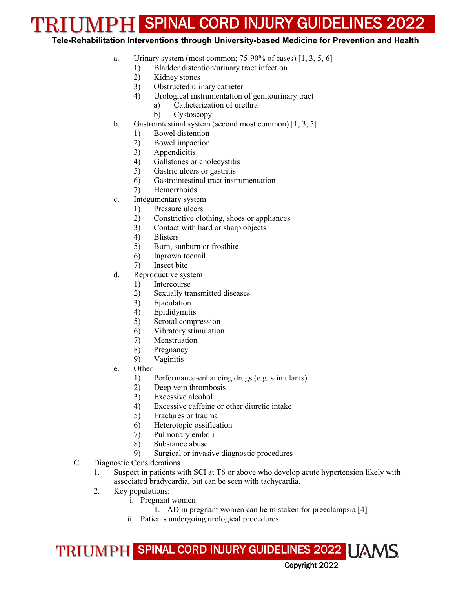#### **Tele-Rehabilitation Interventions through University-based Medicine for Prevention and Health**

- a. Urinary system (most common;  $75-90\%$  of cases)  $[1, 3, 5, 6]$ 
	- 1) Bladder distention/urinary tract infection
	- 2) Kidney stones
	- 3) Obstructed urinary catheter
	- 4) Urological instrumentation of genitourinary tract
		- a) Catheterization of urethra
		- b) Cystoscopy
- b. Gastrointestinal system (second most common) [1, 3, 5]
	- 1) Bowel distention
	- 2) Bowel impaction
	- 3) Appendicitis
	- 4) Gallstones or cholecystitis
	- 5) Gastric ulcers or gastritis
	- 6) Gastrointestinal tract instrumentation
	- 7) Hemorrhoids
- c. Integumentary system
	- 1) Pressure ulcers
	- 2) Constrictive clothing, shoes or appliances
	- 3) Contact with hard or sharp objects
	- 4) Blisters
	- 5) Burn, sunburn or frostbite
	- 6) Ingrown toenail
	- 7) Insect bite
- d. Reproductive system
	- 1) Intercourse
	- 2) Sexually transmitted diseases
	- 3) Ejaculation
	- 4) Epididymitis
	- 5) Scrotal compression
	- 6) Vibratory stimulation
	- 7) Menstruation
	- 8) Pregnancy
	- 9) Vaginitis
- e. Other
	- 1) Performance-enhancing drugs (e.g. stimulants)
	- 2) Deep vein thrombosis
	- 3) Excessive alcohol
	- 4) Excessive caffeine or other diuretic intake
	- 5) Fractures or trauma
	- 6) Heterotopic ossification
	- 7) Pulmonary emboli
	- 8) Substance abuse
	- 9) Surgical or invasive diagnostic procedures
- C. Diagnostic Considerations
	- 1. Suspect in patients with SCI at T6 or above who develop acute hypertension likely with associated bradycardia, but can be seen with tachycardia.
	- 2. Key populations:
		- i. Pregnant women
			- 1. AD in pregnant women can be mistaken for preeclampsia [4]
		- ii. Patients undergoing urological procedures

TRIUMPH SPINAL CORD INJURY GUIDELINES 2022 UAMS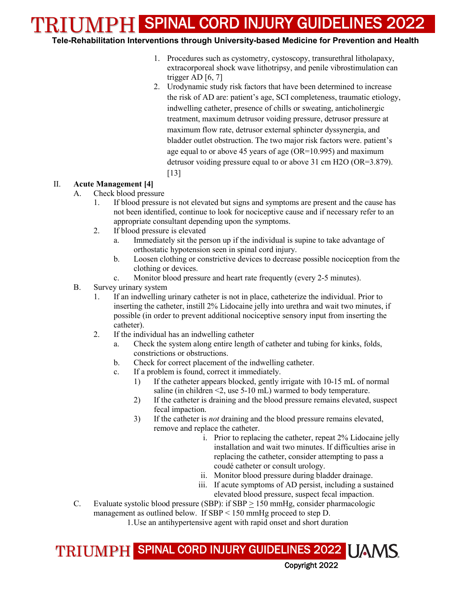#### **Tele-Rehabilitation Interventions through University-based Medicine for Prevention and Health**

- 1. Procedures such as cystometry, cystoscopy, transurethral litholapaxy, extracorporeal shock wave lithotripsy, and penile vibrostimulation can trigger AD  $[6, 7]$
- 2. Urodynamic study risk factors that have been determined to increase the risk of AD are: patient's age, SCI completeness, traumatic etiology, indwelling catheter, presence of chills or sweating, anticholinergic treatment, maximum detrusor voiding pressure, detrusor pressure at maximum flow rate, detrusor external sphincter dyssynergia, and bladder outlet obstruction. The two major risk factors were. patient's age equal to or above 45 years of age (OR=10.995) and maximum detrusor voiding pressure equal to or above 31 cm H2O (OR=3.879). [13]

#### II. **Acute Management [4]**

- A. Check blood pressure
	- 1. If blood pressure is not elevated but signs and symptoms are present and the cause has not been identified, continue to look for nociceptive cause and if necessary refer to an appropriate consultant depending upon the symptoms.
	- 2. If blood pressure is elevated
		- a. Immediately sit the person up if the individual is supine to take advantage of orthostatic hypotension seen in spinal cord injury.
		- b. Loosen clothing or constrictive devices to decrease possible nociception from the clothing or devices.
		- c. Monitor blood pressure and heart rate frequently (every 2-5 minutes).
- B. Survey urinary system
	- 1. If an indwelling urinary catheter is not in place, catheterize the individual. Prior to inserting the catheter, instill 2% Lidocaine jelly into urethra and wait two minutes, if possible (in order to prevent additional nociceptive sensory input from inserting the catheter).
	- 2. If the individual has an indwelling catheter
		- a. Check the system along entire length of catheter and tubing for kinks, folds, constrictions or obstructions.
		- b. Check for correct placement of the indwelling catheter.
		- c. If a problem is found, correct it immediately.
			- 1) If the catheter appears blocked, gently irrigate with 10-15 mL of normal saline (in children <2, use 5-10 mL) warmed to body temperature.
			- 2) If the catheter is draining and the blood pressure remains elevated, suspect fecal impaction.
			- 3) If the catheter is *not* draining and the blood pressure remains elevated, remove and replace the catheter.
				- i. Prior to replacing the catheter, repeat 2% Lidocaine jelly installation and wait two minutes. If difficulties arise in replacing the catheter, consider attempting to pass a coudé catheter or consult urology.
				- ii. Monitor blood pressure during bladder drainage.
				- iii. If acute symptoms of AD persist, including a sustained elevated blood pressure, suspect fecal impaction.
- C. Evaluate systolic blood pressure (SBP): if SBP > 150 mmHg, consider pharmacologic management as outlined below. If SBP < 150 mmHg proceed to step D.

1.Use an antihypertensive agent with rapid onset and short duration

### TRIUMPH SPINAL CORD INJURY GUIDELINES 2022 | JAMS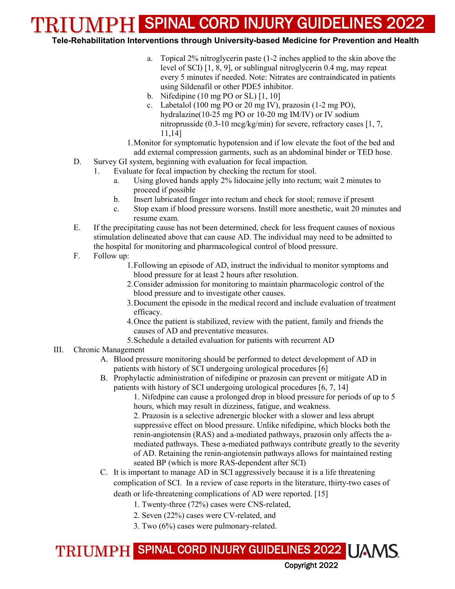#### **Tele-Rehabilitation Interventions through University-based Medicine for Prevention and Health**

- a. Topical 2% nitroglycerin paste (1-2 inches applied to the skin above the level of SCI) [1, 8, 9], or sublingual nitroglycerin 0.4 mg, may repeat every 5 minutes if needed. Note: Nitrates are contraindicated in patients using Sildenafil or other PDE5 inhibitor.
- b. Nifedipine (10 mg PO or SL) [1, 10]
- c. Labetalol (100 mg PO or 20 mg IV), prazosin (1-2 mg PO), hydralazine(10-25 mg PO or 10-20 mg IM/IV) or IV sodium nitroprusside (0.3-10 mcg/kg/min) for severe, refractory cases [1, 7, 11,14]
- 1.Monitor for symptomatic hypotension and if low elevate the foot of the bed and add external compression garments, such as an abdominal binder or TED hose.
- D. Survey GI system, beginning with evaluation for fecal impaction.
	- 1. Evaluate for fecal impaction by checking the rectum for stool.
		- a. Using gloved hands apply 2% lidocaine jelly into rectum; wait 2 minutes to proceed if possible
		- b. Insert lubricated finger into rectum and check for stool; remove if present
		- c. Stop exam if blood pressure worsens. Instill more anesthetic, wait 20 minutes and resume exam.
- E. If the precipitating cause has not been determined, check for less frequent causes of noxious stimulation delineated above that can cause AD. The individual may need to be admitted to the hospital for monitoring and pharmacological control of blood pressure.
- F. Follow up:
	- 1.Following an episode of AD, instruct the individual to monitor symptoms and blood pressure for at least 2 hours after resolution.
	- 2.Consider admission for monitoring to maintain pharmacologic control of the blood pressure and to investigate other causes.
	- 3.Document the episode in the medical record and include evaluation of treatment efficacy.
	- 4.Once the patient is stabilized, review with the patient, family and friends the causes of AD and preventative measures.
	- 5.Schedule a detailed evaluation for patients with recurrent AD

#### III. Chronic Management

- A. Blood pressure monitoring should be performed to detect development of AD in patients with history of SCI undergoing urological procedures [6]
- B. Prophylactic administration of nifedipine or prazosin can prevent or mitigate AD in patients with history of SCI undergoing urological procedures [6, 7, 14]

1. Nifedpine can cause a prolonged drop in blood pressure for periods of up to 5 hours, which may result in dizziness, fatigue, and weakness.

2. Prazosin is a selective adrenergic blocker with a slower and less abrupt suppressive effect on blood pressure. Unlike nifedipine, which blocks both the renin-angiotensin (RAS) and a-mediated pathways, prazosin only affects the amediated pathways. These a-mediated pathways contribute greatly to the severity of AD. Retaining the renin-angiotensin pathways allows for maintained resting seated BP (which is more RAS-dependent after SCI)

Copyright 2022

- C. It is important to manage AD in SCI aggressively because it is a life threatening complication of SCI. In a review of case reports in the literature, thirty-two cases of death or life-threatening complications of AD were reported. [15]
	- 1. Twenty-three (72%) cases were CNS-related,
	- 2. Seven (22%) cases were CV-related, and
	- 3. Two (6%) cases were pulmonary-related.

### TRIUMPH SPINAL CORD INJURY GUIDELINES 2022 | JAMS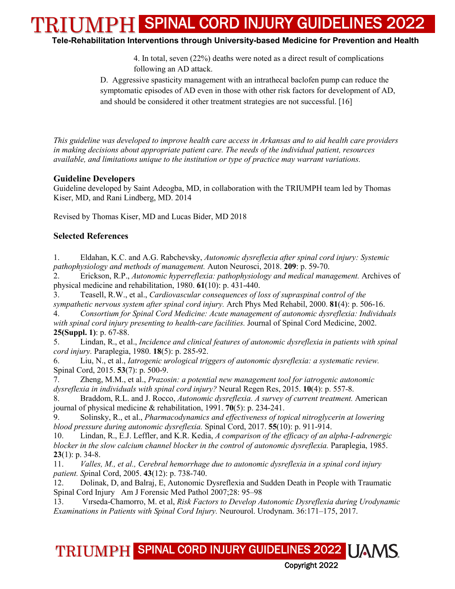**Tele-Rehabilitation Interventions through University-based Medicine for Prevention and Health**

4. In total, seven (22%) deaths were noted as a direct result of complications following an AD attack.

D. Aggressive spasticity management with an intrathecal baclofen pump can reduce the symptomatic episodes of AD even in those with other risk factors for development of AD, and should be considered it other treatment strategies are not successful. [16]

*This guideline was developed to improve health care access in Arkansas and to aid health care providers in making decisions about appropriate patient care. The needs of the individual patient, resources available, and limitations unique to the institution or type of practice may warrant variations.*

#### **Guideline Developers**

Guideline developed by Saint Adeogba, MD, in collaboration with the TRIUMPH team led by Thomas Kiser, MD, and Rani Lindberg, MD. 2014

Revised by Thomas Kiser, MD and Lucas Bider, MD 2018

#### **Selected References**

1. Eldahan, K.C. and A.G. Rabchevsky, *Autonomic dysreflexia after spinal cord injury: Systemic pathophysiology and methods of management.* Auton Neurosci, 2018. **209**: p. 59-70.

2. Erickson, R.P., *Autonomic hyperreflexia: pathophysiology and medical management.* Archives of physical medicine and rehabilitation, 1980. **61**(10): p. 431-440.

3. Teasell, R.W., et al., *Cardiovascular consequences of loss of supraspinal control of the sympathetic nervous system after spinal cord injury.* Arch Phys Med Rehabil, 2000. **81**(4): p. 506-16.

4. *Consortium for Spinal Cord Medicine: Acute management of autonomic dysreflexia: Individuals with spinal cord injury presenting to health-care facilities.* Journal of Spinal Cord Medicine, 2002. **25(Suppl. 1)**: p. 67-88.

5. Lindan, R., et al., *Incidence and clinical features of autonomic dysreflexia in patients with spinal cord injury.* Paraplegia, 1980. **18**(5): p. 285-92.

6. Liu, N., et al., *Iatrogenic urological triggers of autonomic dysreflexia: a systematic review.* Spinal Cord, 2015. **53**(7): p. 500-9.

7. Zheng, M.M., et al., *Prazosin: a potential new management tool for iatrogenic autonomic dysreflexia in individuals with spinal cord injury?* Neural Regen Res, 2015. **10**(4): p. 557-8.

8. Braddom, R.L. and J. Rocco, *Autonomic dysreflexia. A survey of current treatment.* American journal of physical medicine & rehabilitation, 1991. **70**(5): p. 234-241.

9. Solinsky, R., et al., *Pharmacodynamics and effectiveness of topical nitroglycerin at lowering blood pressure during autonomic dysreflexia.* Spinal Cord, 2017. **55**(10): p. 911-914.

10. Lindan, R., E.J. Leffler, and K.R. Kedia, *A comparison of the efficacy of an alpha-I-adrenergic blocker in the slow calcium channel blocker in the control of autonomic dysreflexia.* Paraplegia, 1985. **23**(1): p. 34-8.

11. *Valles, M., et al., Cerebral hemorrhage due to autonomic dysreflexia in a spinal cord injury patient. Sp*inal Cord, 2005. **43**(12): p. 738-740.

12. Dolinak, D, and Balraj, E, Autonomic Dysreflexia and Sudden Death in People with Traumatic Spinal Cord Injury Am J Forensic Med Pathol 2007;28: 95–98

13. Vırseda-Chamorro, M. et al, *Risk Factors to Develop Autonomic Dysreflexia during Urodynamic Examinations in Patients with Spinal Cord Injury.* Neurourol. Urodynam. 36:171–175, 2017.

TRIUMPH SPINAL CORD INJURY GUIDELINES 2022 UAMS